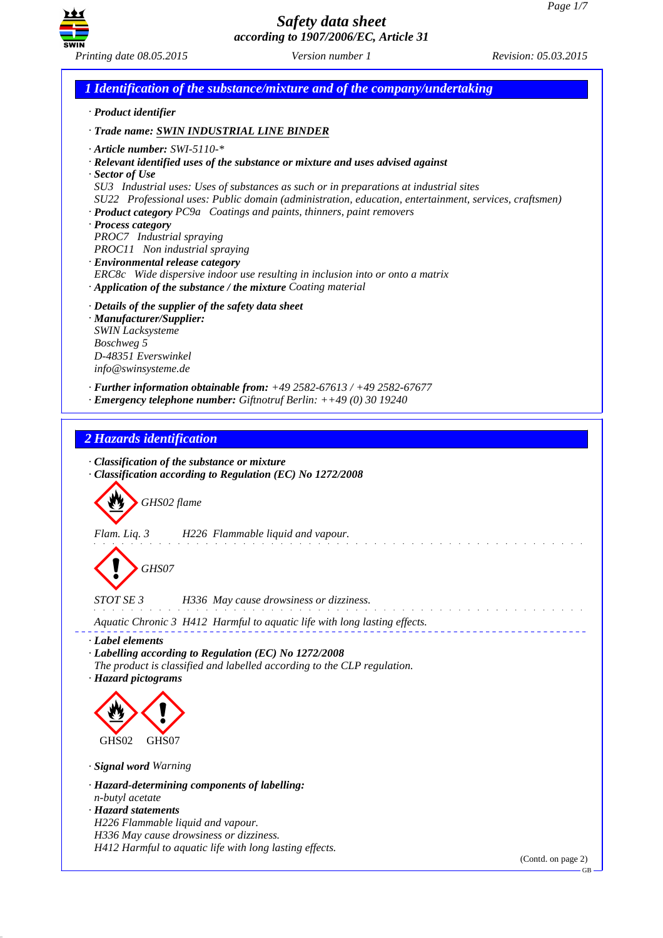

*1 Identification of the substance/mixture and of the company/undertaking · Product identifier · Trade name: SWIN INDUSTRIAL LINE BINDER · Article number: SWI-5110-\* · Relevant identified uses of the substance or mixture and uses advised against · Sector of Use SU3 Industrial uses: Uses of substances as such or in preparations at industrial sites SU22 Professional uses: Public domain (administration, education, entertainment, services, craftsmen) · Product category PC9a Coatings and paints, thinners, paint removers · Process category PROC7 Industrial spraying PROC11 Non industrial spraying · Environmental release category ERC8c Wide dispersive indoor use resulting in inclusion into or onto a matrix · Application of the substance / the mixture Coating material · Details of the supplier of the safety data sheet · Manufacturer/Supplier: SWIN Lacksysteme Boschweg 5 D-48351 Everswinkel info@swinsysteme.de · Further information obtainable from: +49 2582-67613 / +49 2582-67677 · Emergency telephone number: Giftnotruf Berlin: ++49 (0) 30 19240 2 Hazards identification · Classification of the substance or mixture · Classification according to Regulation (EC) No 1272/2008* d~*GHS02 flame Flam. Liq. 3 H226 Flammable liquid and vapour.* d~*GHS07 STOT SE 3 H336 May cause drowsiness or dizziness.* <u>a cara a cara a cara</u> *Aquatic Chronic 3 H412 Harmful to aquatic life with long lasting effects. · Label elements · Labelling according to Regulation (EC) No 1272/2008 The product is classified and labelled according to the CLP regulation. · Hazard pictograms* <  $\langle \cdot \rangle$ GHS02 GHS07 *· Signal word Warning · Hazard-determining components of labelling: n-butyl acetate · Hazard statements H226 Flammable liquid and vapour. H336 May cause drowsiness or dizziness. H412 Harmful to aquatic life with long lasting effects.*

(Contd. on page 2)

GB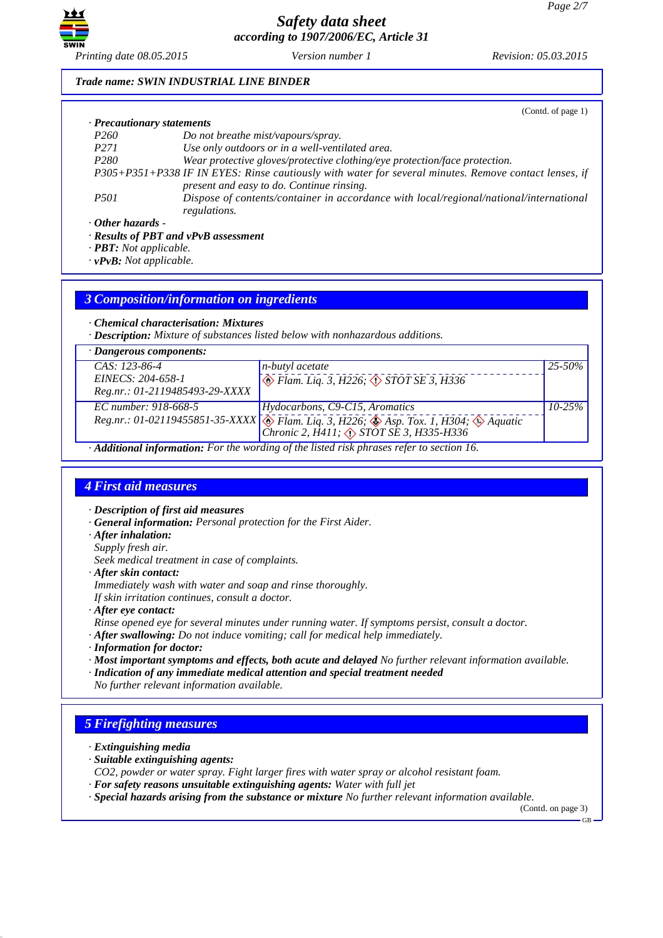

### *Trade name: SWIN INDUSTRIAL LINE BINDER*

|                            | (Contd. of page 1)                                                                                                                                 |
|----------------------------|----------------------------------------------------------------------------------------------------------------------------------------------------|
| · Precautionary statements |                                                                                                                                                    |
| <i>P260</i>                | Do not breathe mist/vapours/spray.                                                                                                                 |
| P <sub>271</sub>           | Use only outdoors or in a well-ventilated area.                                                                                                    |
| P <sub>280</sub>           | Wear protective gloves/protective clothing/eye protection/face protection.                                                                         |
|                            | P305+P351+P338 IF IN EYES: Rinse cautiously with water for several minutes. Remove contact lenses, if<br>present and easy to do. Continue rinsing. |
| <i>P501</i>                | Dispose of contents/container in accordance with local/regional/national/international<br>regulations.                                             |
| $\cdot$ Other hazards -    |                                                                                                                                                    |
|                            | $\cdot$ Results of PBT and vPvB assessment                                                                                                         |

*· PBT: Not applicable.*

*· vPvB: Not applicable.*

## *3 Composition/information on ingredients*

*· Chemical characterisation: Mixtures*

*· Description: Mixture of substances listed below with nonhazardous additions.*

| $\cdot$ Dangerous components:                                                                                                                                                                                                                                                                                                                                                                 |                                                                                                                                     |             |  |  |  |
|-----------------------------------------------------------------------------------------------------------------------------------------------------------------------------------------------------------------------------------------------------------------------------------------------------------------------------------------------------------------------------------------------|-------------------------------------------------------------------------------------------------------------------------------------|-------------|--|--|--|
| $CAS: 123-86-4$                                                                                                                                                                                                                                                                                                                                                                               | n-butyl acetate                                                                                                                     | $25 - 50\%$ |  |  |  |
| EINECS: 204-658-1                                                                                                                                                                                                                                                                                                                                                                             | $\otimes$ Flam. Liq. 3, H226; $\otimes$ STOT SE 3, H336                                                                             |             |  |  |  |
| Reg.nr.: 01-2119485493-29-XXXX                                                                                                                                                                                                                                                                                                                                                                |                                                                                                                                     |             |  |  |  |
| EC number: 918-668-5                                                                                                                                                                                                                                                                                                                                                                          | Hydocarbons, C9-C15, Aromatics                                                                                                      | $10 - 25\%$ |  |  |  |
|                                                                                                                                                                                                                                                                                                                                                                                               | Reg.nr.: 01-02119455851-35-XXXX The Flam. Liq. 3, H226; Asp. Tox. 1, H304; Aquatic Chronic 2, H411; $\Diamond$ STOT SE 3, H335-H336 |             |  |  |  |
|                                                                                                                                                                                                                                                                                                                                                                                               |                                                                                                                                     |             |  |  |  |
| $\lambda$ , $\lambda$ , $\lambda$ , $\lambda$ , $\lambda$ , $\lambda$ , $\lambda$ , $\lambda$ , $\lambda$ , $\lambda$ , $\lambda$ , $\lambda$ , $\lambda$ , $\lambda$ , $\lambda$ , $\lambda$ , $\lambda$ , $\lambda$ , $\lambda$ , $\lambda$ , $\lambda$ , $\lambda$ , $\lambda$ , $\lambda$ , $\lambda$ , $\lambda$ , $\lambda$ , $\lambda$ , $\lambda$ , $\lambda$ , $\lambda$ , $\lambda$ |                                                                                                                                     |             |  |  |  |

*· Additional information: For the wording of the listed risk phrases refer to section 16.*

# *4 First aid measures*

- *· Description of first aid measures*
- *· General information: Personal protection for the First Aider.*
- *· After inhalation:*
- *Supply fresh air.*

*Seek medical treatment in case of complaints.*

- *· After skin contact:*
- *Immediately wash with water and soap and rinse thoroughly.*

*If skin irritation continues, consult a doctor.*

- *· After eye contact:*
- *Rinse opened eye for several minutes under running water. If symptoms persist, consult a doctor.*
- *· After swallowing: Do not induce vomiting; call for medical help immediately.*
- *· Information for doctor:*
- *· Most important symptoms and effects, both acute and delayed No further relevant information available.*
- *· Indication of any immediate medical attention and special treatment needed*
- *No further relevant information available.*

# *5 Firefighting measures*

- *· Extinguishing media*
- *· Suitable extinguishing agents:*
- *CO2, powder or water spray. Fight larger fires with water spray or alcohol resistant foam.*
- *· For safety reasons unsuitable extinguishing agents: Water with full jet*
- *· Special hazards arising from the substance or mixture No further relevant information available.*

(Contd. on page 3)

GB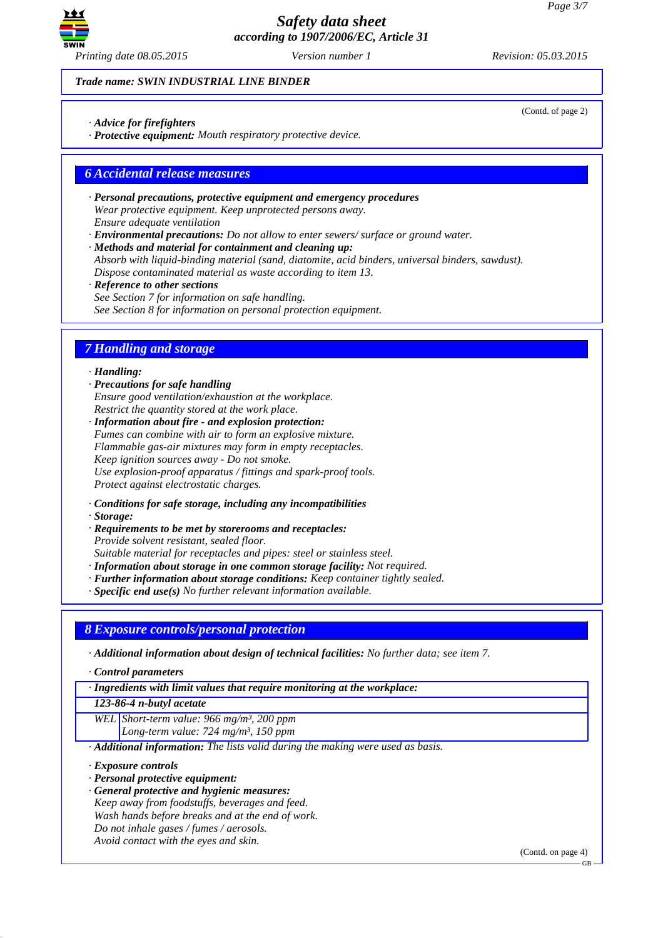

*Trade name: SWIN INDUSTRIAL LINE BINDER*

*· Advice for firefighters*

*· Protective equipment: Mouth respiratory protective device.*

# *6 Accidental release measures*

- *· Personal precautions, protective equipment and emergency procedures Wear protective equipment. Keep unprotected persons away. Ensure adequate ventilation*
- *· Environmental precautions: Do not allow to enter sewers/ surface or ground water.*

*· Methods and material for containment and cleaning up: Absorb with liquid-binding material (sand, diatomite, acid binders, universal binders, sawdust). Dispose contaminated material as waste according to item 13.*

*· Reference to other sections See Section 7 for information on safe handling.*

*See Section 8 for information on personal protection equipment.*

# *7 Handling and storage*

### *· Handling:*

*· Precautions for safe handling Ensure good ventilation/exhaustion at the workplace. Restrict the quantity stored at the work place.*

*· Information about fire - and explosion protection: Fumes can combine with air to form an explosive mixture. Flammable gas-air mixtures may form in empty receptacles. Keep ignition sources away - Do not smoke. Use explosion-proof apparatus / fittings and spark-proof tools. Protect against electrostatic charges.*

*· Conditions for safe storage, including any incompatibilities*

*· Storage:*

*· Requirements to be met by storerooms and receptacles: Provide solvent resistant, sealed floor. Suitable material for receptacles and pipes: steel or stainless steel.*

*· Information about storage in one common storage facility: Not required.*

- *· Further information about storage conditions: Keep container tightly sealed.*
- *· Specific end use(s) No further relevant information available.*

*8 Exposure controls/personal protection*

*· Additional information about design of technical facilities: No further data; see item 7.*

*· Control parameters*

*· Ingredients with limit values that require monitoring at the workplace:*

*123-86-4 n-butyl acetate*

*WEL Short-term value: 966 mg/m³, 200 ppm Long-term value: 724 mg/m³, 150 ppm*

*· Additional information: The lists valid during the making were used as basis.*

*· Exposure controls*

- *· Personal protective equipment:*
- *· General protective and hygienic measures: Keep away from foodstuffs, beverages and feed. Wash hands before breaks and at the end of work. Do not inhale gases / fumes / aerosols. Avoid contact with the eyes and skin.*

(Contd. on page 4)

(Contd. of page 2)

GB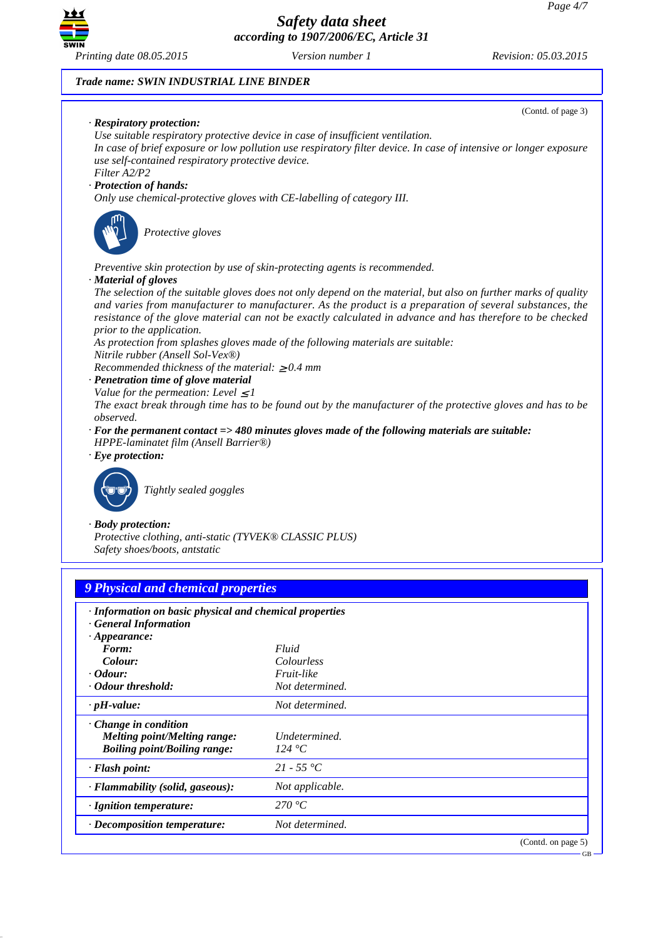

### *Trade name: SWIN INDUSTRIAL LINE BINDER*

*· pH-value: Not determined.*

*Melting point/Melting range: Undetermined.*

*· Decomposition temperature: Not determined.*

*· Flash point: 21 - 55 °C · Flammability (solid, gaseous): Not applicable.*

*· Ignition temperature: 270 °C*

*· Change in condition*

*Boiling point/Boiling range:* 



(Contd. on page 5)

GB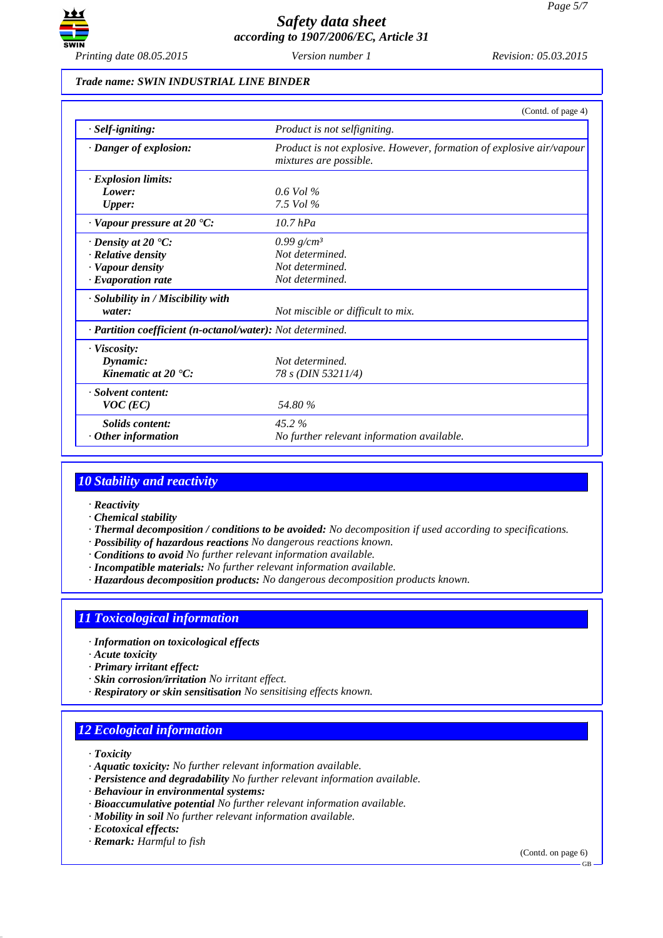

### *Trade name: SWIN INDUSTRIAL LINE BINDER*

|                                                            | (Contd. of page 4)                                                                             |
|------------------------------------------------------------|------------------------------------------------------------------------------------------------|
| $·$ <i>Self-igniting:</i>                                  | Product is not selfigniting.                                                                   |
| · Danger of explosion:                                     | Product is not explosive. However, formation of explosive air/vapour<br>mixtures are possible. |
| $\cdot$ Explosion limits:                                  |                                                                                                |
| Lower:                                                     | $0.6$ Vol %                                                                                    |
| <b>Upper:</b>                                              | 7.5 Vol $\%$                                                                                   |
| $\cdot$ Vapour pressure at 20 $\cdot$ C:                   | $10.7$ hPa                                                                                     |
| $\cdot$ Density at 20 $\cdot$ C:                           | 0.99 $g/cm^3$                                                                                  |
| · Relative density                                         | Not determined.                                                                                |
| · Vapour density                                           | Not determined.                                                                                |
| $\cdot$ Evaporation rate                                   | Not determined.                                                                                |
| · Solubility in / Miscibility with                         |                                                                                                |
| water:                                                     | Not miscible or difficult to mix.                                                              |
| · Partition coefficient (n-octanol/water): Not determined. |                                                                                                |
| $\cdot$ Viscosity:                                         |                                                                                                |
| Dynamic:                                                   | Not determined.                                                                                |
| Kinematic at $20 \text{ }^{\circ}C$ :                      | 78 s (DIN 53211/4)                                                                             |
| · Solvent content:                                         |                                                                                                |
| $VOC$ (EC)                                                 | 54.80 %                                                                                        |
| <b>Solids</b> content:                                     | 45.2%                                                                                          |
| $\cdot$ Other information                                  | No further relevant information available.                                                     |

# *10 Stability and reactivity*

- *· Reactivity*
- *· Chemical stability*
- *· Thermal decomposition / conditions to be avoided: No decomposition if used according to specifications.*
- *· Possibility of hazardous reactions No dangerous reactions known.*
- *· Conditions to avoid No further relevant information available.*
- *· Incompatible materials: No further relevant information available.*
- *· Hazardous decomposition products: No dangerous decomposition products known.*

# *11 Toxicological information*

- *· Information on toxicological effects*
- *· Acute toxicity*
- *· Primary irritant effect:*
- *· Skin corrosion/irritation No irritant effect.*
- *· Respiratory or skin sensitisation No sensitising effects known.*

# *12 Ecological information*

- *· Toxicity*
- *· Aquatic toxicity: No further relevant information available.*
- *· Persistence and degradability No further relevant information available.*
- *· Behaviour in environmental systems:*
- *· Bioaccumulative potential No further relevant information available.*
- *· Mobility in soil No further relevant information available.*
- *· Ecotoxical effects:*
- *· Remark: Harmful to fish*

(Contd. on page 6)

GB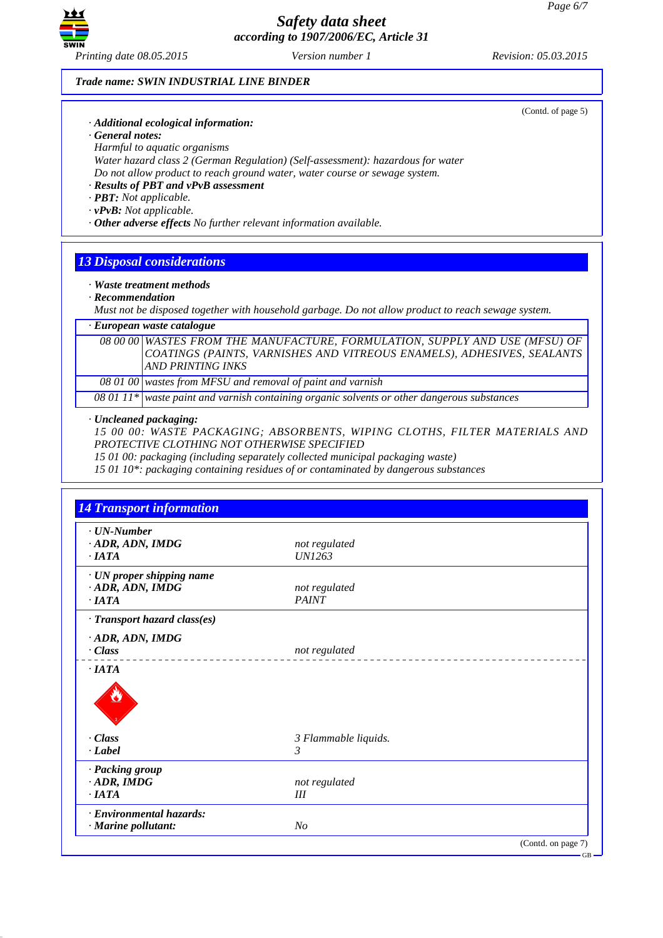

### *Trade name: SWIN INDUSTRIAL LINE BINDER*

*· Additional ecological information:*

*· General notes:*

*Harmful to aquatic organisms*

*Water hazard class 2 (German Regulation) (Self-assessment): hazardous for water Do not allow product to reach ground water, water course or sewage system.*

- *· Results of PBT and vPvB assessment*
- *· PBT: Not applicable.*
- *· vPvB: Not applicable.*

*· Other adverse effects No further relevant information available.*

# *13 Disposal considerations*

- *· Waste treatment methods*
- *· Recommendation*

*Must not be disposed together with household garbage. Do not allow product to reach sewage system.*

# *· European waste catalogue*

*08 00 00 WASTES FROM THE MANUFACTURE, FORMULATION, SUPPLY AND USE (MFSU) OF COATINGS (PAINTS, VARNISHES AND VITREOUS ENAMELS), ADHESIVES, SEALANTS AND PRINTING INKS*

*08 01 00 wastes from MFSU and removal of paint and varnish*

*08 01 11\* waste paint and varnish containing organic solvents or other dangerous substances*

### *· Uncleaned packaging:*

*15 00 00: WASTE PACKAGING; ABSORBENTS, WIPING CLOTHS, FILTER MATERIALS AND PROTECTIVE CLOTHING NOT OTHERWISE SPECIFIED*

*15 01 00: packaging (including separately collected municipal packaging waste)*

*15 01 10\*: packaging containing residues of or contaminated by dangerous substances*

| $\cdot$ UN-Number                  |                      |  |
|------------------------------------|----------------------|--|
| · ADR, ADN, IMDG                   | not regulated        |  |
| $\cdot$ <i>IATA</i>                | <b>UN1263</b>        |  |
| · UN proper shipping name          |                      |  |
| · ADR, ADN, IMDG                   | not regulated        |  |
| $\cdot$ IATA                       | <b>PAINT</b>         |  |
| $\cdot$ Transport hazard class(es) |                      |  |
| · ADR, ADN, IMDG                   |                      |  |
| $\cdot$ Class                      | not regulated        |  |
| $\cdot$ IATA                       |                      |  |
|                                    |                      |  |
| $\cdot$ Class                      | 3 Flammable liquids. |  |
| $\cdot$ <i>Label</i>               | $\mathfrak{Z}$       |  |
| · Packing group                    |                      |  |
| $\cdot$ ADR, IMDG                  | not regulated        |  |
| $\cdot$ IATA                       | III                  |  |
|                                    |                      |  |
| · Environmental hazards:           |                      |  |

(Contd. of page 5)